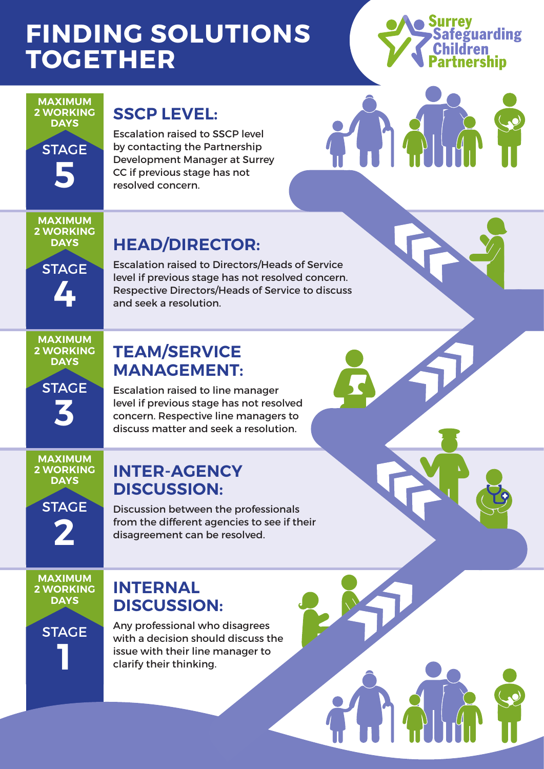#### **FINDING SOLUTIONS TOGETHER** Surrey **SIDING** a Pilip **GETH**